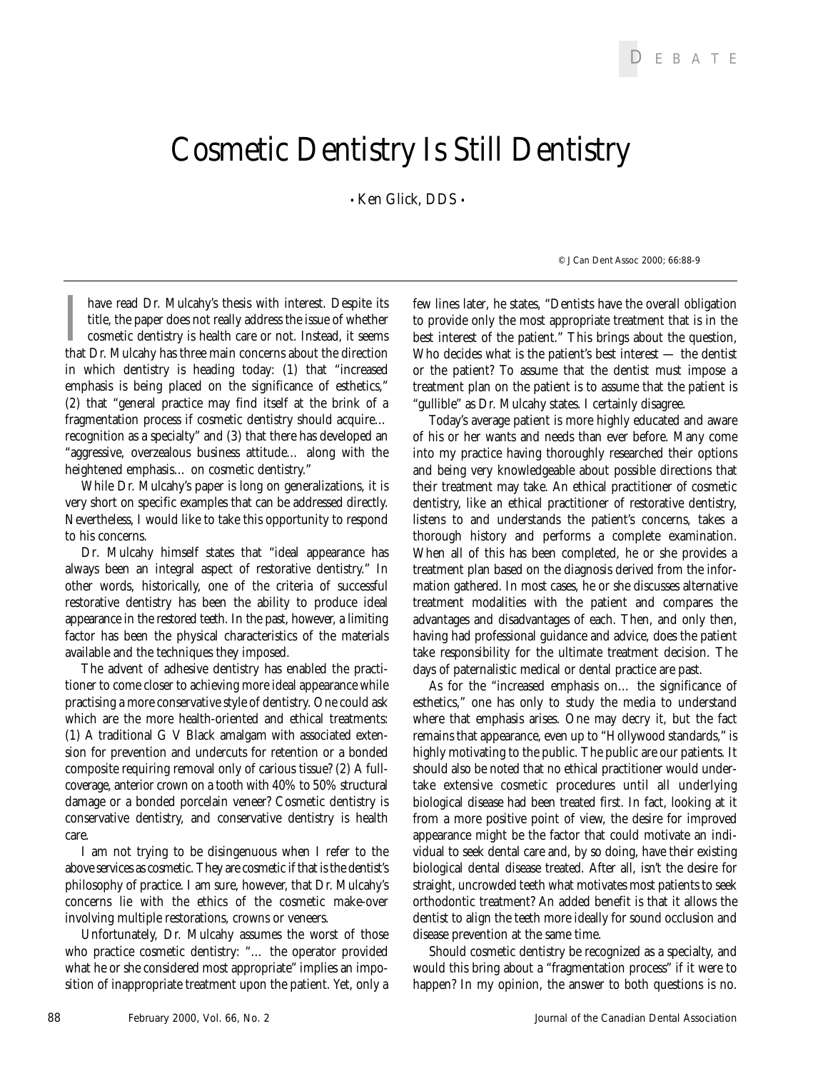## **Cosmetic Dentistry Is Still Dentistry**

• **Ken Glick,** DDS •

I have read Dr. Mulcahy's thesis with interest. Despite its title, the paper does not really address the issue of whether cosmetic dentistry is health care or not. Instead, it seems that Dr. Mulcahy has three main concerns have read Dr. Mulcahy's thesis with interest. Despite its title, the paper does not really address the issue of whether cosmetic dentistry is health care or not. Instead, it seems in which dentistry is heading today: (1) that "increased emphasis is being placed on the significance of esthetics," (2) that "general practice may find itself at the brink of a fragmentation process if cosmetic dentistry should acquire… recognition as a specialty" and (3) that there has developed an "aggressive, overzealous business attitude… along with the heightened emphasis… on cosmetic dentistry."

While Dr. Mulcahy's paper is long on generalizations, it is very short on specific examples that can be addressed directly. Nevertheless, I would like to take this opportunity to respond to his concerns.

Dr. Mulcahy himself states that "ideal appearance has always been an integral aspect of restorative dentistry." In other words, historically, one of the criteria of successful restorative dentistry has been the ability to produce ideal appearance in the restored teeth. In the past, however, a limiting factor has been the physical characteristics of the materials available and the techniques they imposed.

The advent of adhesive dentistry has enabled the practitioner to come closer to achieving more ideal appearance while practising a more conservative style of dentistry. One could ask which are the more health-oriented and ethical treatments: (1) A traditional G V Black amalgam with associated extension for prevention and undercuts for retention or a bonded composite requiring removal only of carious tissue? (2) A fullcoverage, anterior crown on a tooth with 40% to 50% structural damage or a bonded porcelain veneer? Cosmetic dentistry is conservative dentistry, and conservative dentistry is health care.

I am not trying to be disingenuous when I refer to the above services as cosmetic. They are cosmetic if that is the dentist's philosophy of practice. I am sure, however, that Dr. Mulcahy's concerns lie with the ethics of the cosmetic make-over involving multiple restorations, crowns or veneers.

Unfortunately, Dr. Mulcahy assumes the worst of those who practice cosmetic dentistry: "… the operator provided what he or she considered most appropriate" implies an imposition of inappropriate treatment upon the patient. Yet, only a few lines later, he states, "Dentists have the overall obligation to provide only the most appropriate treatment that is in the best interest of the patient." This brings about the question, Who decides what is the patient's best interest — the dentist or the patient? To assume that the dentist must impose a treatment plan on the patient is to assume that the patient is

*© J Can Dent Assoc 2000; 66:88-9*

"gullible" as Dr. Mulcahy states. I certainly disagree. Today's average patient is more highly educated and aware of his or her wants and needs than ever before. Many come into my practice having thoroughly researched their options and being very knowledgeable about possible directions that their treatment may take. An ethical practitioner of cosmetic dentistry, like an ethical practitioner of restorative dentistry, listens to and understands the patient's concerns, takes a thorough history and performs a complete examination. When all of this has been completed, he or she provides a treatment plan based on the diagnosis derived from the information gathered. In most cases, he or she discusses alternative treatment modalities with the patient and compares the advantages and disadvantages of each. Then, and only then, having had professional guidance and advice, does the patient take responsibility for the ultimate treatment decision. The days of paternalistic medical or dental practice are past.

As for the "increased emphasis on… the significance of esthetics," one has only to study the media to understand where that emphasis arises. One may decry it, but the fact remains that appearance, even up to "Hollywood standards," is highly motivating to the public. The public are our patients. It should also be noted that no ethical practitioner would undertake extensive cosmetic procedures until all underlying biological disease had been treated first. In fact, looking at it from a more positive point of view, the desire for improved appearance might be the factor that could motivate an individual to seek dental care and, by so doing, have their existing biological dental disease treated. After all, isn't the desire for straight, uncrowded teeth what motivates most patients to seek orthodontic treatment? An added benefit is that it allows the dentist to align the teeth more ideally for sound occlusion and disease prevention at the same time.

Should cosmetic dentistry be recognized as a specialty, and would this bring about a "fragmentation process" if it were to happen? In my opinion, the answer to both questions is no.